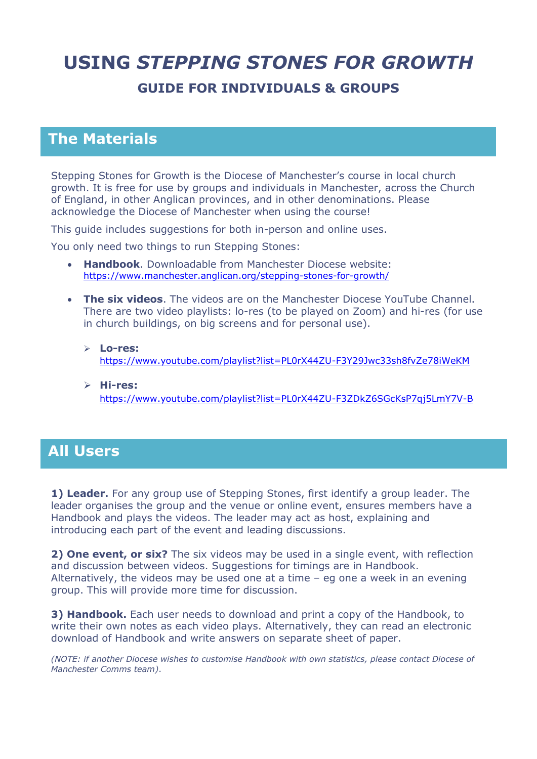## **USING** *STEPPING STONES FOR GROWTH* **GUIDE FOR INDIVIDUALS & GROUPS**

## **The Materials**

Stepping Stones for Growth is the Diocese of Manchester's course in local church growth. It is free for use by groups and individuals in Manchester, across the Church of England, in other Anglican provinces, and in other denominations. Please acknowledge the Diocese of Manchester when using the course!

This guide includes suggestions for both in-person and online uses.

You only need two things to run Stepping Stones:

- **Handbook**. Downloadable from Manchester Diocese website: <https://www.manchester.anglican.org/stepping-stones-for-growth/>
- **The six videos**. The videos are on the Manchester Diocese YouTube Channel. There are two video playlists: lo-res (to be played on Zoom) and hi-res (for use in church buildings, on big screens and for personal use).
	- **Lo-res:** <https://www.youtube.com/playlist?list=PL0rX44ZU-F3Y29Jwc33sh8fvZe78iWeKM>
	- **Hi-res:** <https://www.youtube.com/playlist?list=PL0rX44ZU-F3ZDkZ6SGcKsP7qj5LmY7V-B>

## **All Users**

**1) Leader.** For any group use of Stepping Stones, first identify a group leader. The leader organises the group and the venue or online event, ensures members have a Handbook and plays the videos. The leader may act as host, explaining and introducing each part of the event and leading discussions.

**2) One event, or six?** The six videos may be used in a single event, with reflection and discussion between videos. Suggestions for timings are in Handbook. Alternatively, the videos may be used one at a time – eg one a week in an evening group. This will provide more time for discussion.

**3) Handbook.** Each user needs to download and print a copy of the Handbook, to write their own notes as each video plays. Alternatively, they can read an electronic download of Handbook and write answers on separate sheet of paper.

*(NOTE: if another Diocese wishes to customise Handbook with own statistics, please contact Diocese of Manchester Comms team)*.